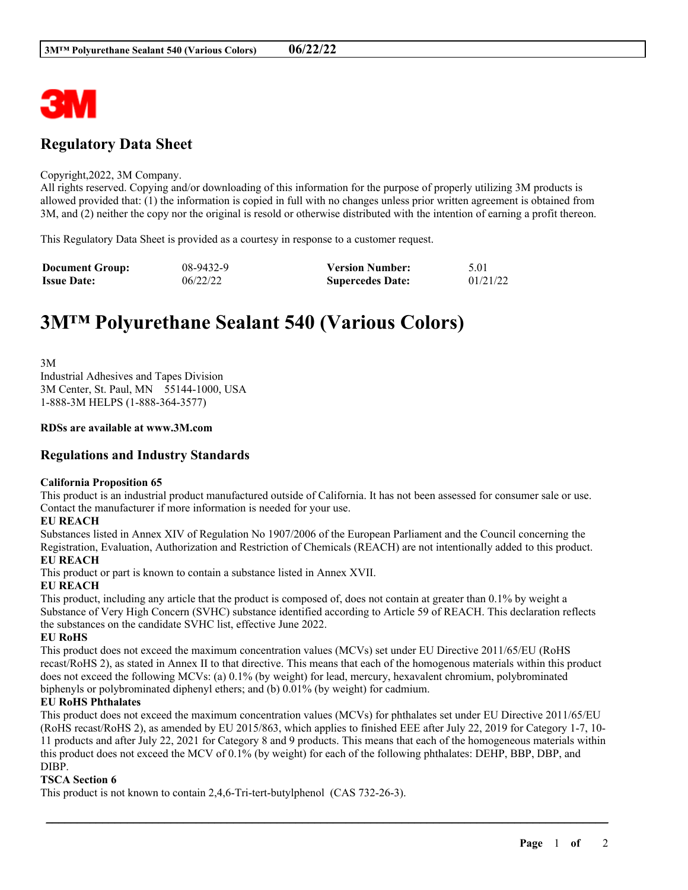

## **Regulatory Data Sheet**

### Copyright,2022, 3M Company.

All rights reserved. Copying and/or downloading of this information for the purpose of properly utilizing 3M products is allowed provided that: (1) the information is copied in full with no changes unless prior written agreement is obtained from 3M, and (2) neither the copy nor the original is resold or otherwise distributed with the intention of earning a profit thereon.

This Regulatory Data Sheet is provided as a courtesy in response to a customer request.

| <b>Document Group:</b> | 08-9432-9 | <b>Version Number:</b>  | 5.01     |
|------------------------|-----------|-------------------------|----------|
| <b>Issue Date:</b>     | 06/22/22  | <b>Supercedes Date:</b> | 01/21/22 |

# **3M™ Polyurethane Sealant 540 (Various Colors)**

3M Industrial Adhesives and Tapes Division 3M Center, St. Paul, MN 55144-1000, USA 1-888-3M HELPS (1-888-364-3577)

### **RDSs are available at www.3M.com**

### **Regulations and Industry Standards**

### **California Proposition 65**

This product is an industrial product manufactured outside of California. It has not been assessed for consumer sale or use. Contact the manufacturer if more information is needed for your use.

### **EU REACH**

Substances listed in Annex XIV of Regulation No 1907/2006 of the European Parliament and the Council concerning the Registration, Evaluation, Authorization and Restriction of Chemicals (REACH) are not intentionally added to this product. **EU REACH**

This product or part is known to contain a substance listed in Annex XVII.

### **EU REACH**

This product, including any article that the product is composed of, does not contain at greater than 0.1% by weight a Substance of Very High Concern (SVHC) substance identified according to Article 59 of REACH. This declaration reflects the substances on the candidate SVHC list, effective June 2022.

### **EU RoHS**

This product does not exceed the maximum concentration values (MCVs) set under EU Directive 2011/65/EU (RoHS recast/RoHS 2), as stated in Annex II to that directive. This means that each of the homogenous materials within this product does not exceed the following MCVs: (a) 0.1% (by weight) for lead, mercury, hexavalent chromium, polybrominated biphenyls or polybrominated diphenyl ethers; and (b) 0.01% (by weight) for cadmium.

### **EU RoHS Phthalates**

This product does not exceed the maximum concentration values (MCVs) for phthalates set under EU Directive 2011/65/EU (RoHS recast/RoHS 2), as amended by EU 2015/863, which applies to finished EEE after July 22, 2019 for Category 1-7, 10- 11 products and after July 22, 2021 for Category 8 and 9 products. This means that each of the homogeneous materials within this product does not exceed the MCV of 0.1% (by weight) for each of the following phthalates: DEHP, BBP, DBP, and DIBP.

\_\_\_\_\_\_\_\_\_\_\_\_\_\_\_\_\_\_\_\_\_\_\_\_\_\_\_\_\_\_\_\_\_\_\_\_\_\_\_\_\_\_\_\_\_\_\_\_\_\_\_\_\_\_\_\_\_\_\_\_\_\_\_\_\_\_\_\_\_\_\_\_\_\_\_\_\_\_\_\_\_\_\_\_\_\_\_\_\_\_

### **TSCA Section 6**

This product is not known to contain 2,4,6-Tri-tert-butylphenol (CAS 732-26-3).